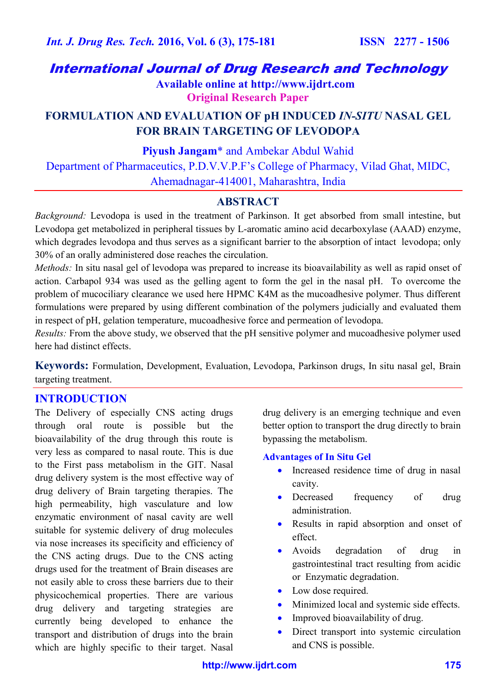# International Journal of Drug Research and Technology

 **Available online at http://www.ijdrt.com Original Research Paper**

# **FORMULATION AND EVALUATION OF pH INDUCED** *IN-SITU* **NASAL GEL FOR BRAIN TARGETING OF LEVODOPA**

**Piyush Jangam**\* and Ambekar Abdul Wahid

Department of Pharmaceutics, P.D.V.V.P.F's College of Pharmacy, Vilad Ghat, MIDC, Ahemadnagar-414001, Maharashtra, India

# **ABSTRACT**

*Background:* Levodopa is used in the treatment of Parkinson. It get absorbed from small intestine, but Levodopa get metabolized in peripheral tissues by L-aromatic amino acid decarboxylase (AAAD) enzyme, which degrades levodopa and thus serves as a significant barrier to the absorption of intact levodopa; only 30% of an orally administered dose reaches the circulation.

*Methods:* In situ nasal gel of levodopa was prepared to increase its bioavailability as well as rapid onset of action. Carbapol 934 was used as the gelling agent to form the gel in the nasal pH. To overcome the problem of mucociliary clearance we used here HPMC K4M as the mucoadhesive polymer. Thus different formulations were prepared by using different combination of the polymers judicially and evaluated them in respect of pH, gelation temperature, mucoadhesive force and permeation of levodopa.

*Results:* From the above study, we observed that the pH sensitive polymer and mucoadhesive polymer used here had distinct effects.

**Keywords:** Formulation, Development, Evaluation, Levodopa, Parkinson drugs, In situ nasal gel, Brain targeting treatment.

# **INTRODUCTION**

The Delivery of especially CNS acting drugs through oral route is possible but the bioavailability of the drug through this route is very less as compared to nasal route. This is due to the First pass metabolism in the GIT. Nasal drug delivery system is the most effective way of drug delivery of Brain targeting therapies. The high permeability, high vasculature and low enzymatic environment of nasal cavity are well suitable for systemic delivery of drug molecules via nose increases its specificity and efficiency of the CNS acting drugs. Due to the CNS acting drugs used for the treatment of Brain diseases are not easily able to cross these barriers due to their physicochemical properties. There are various drug delivery and targeting strategies are currently being developed to enhance the transport and distribution of drugs into the brain which are highly specific to their target. Nasal

drug delivery is an emerging technique and even better option to transport the drug directly to brain bypassing the metabolism.

#### **Advantages of In Situ Gel**

- Increased residence time of drug in nasal cavity.
- Decreased frequency of drug administration.
- Results in rapid absorption and onset of effect.
- Avoids degradation of drug in gastrointestinal tract resulting from acidic or Enzymatic degradation.
- Low dose required.
- Minimized local and systemic side effects.
- Improved bioavailability of drug.
- Direct transport into systemic circulation and CNS is possible.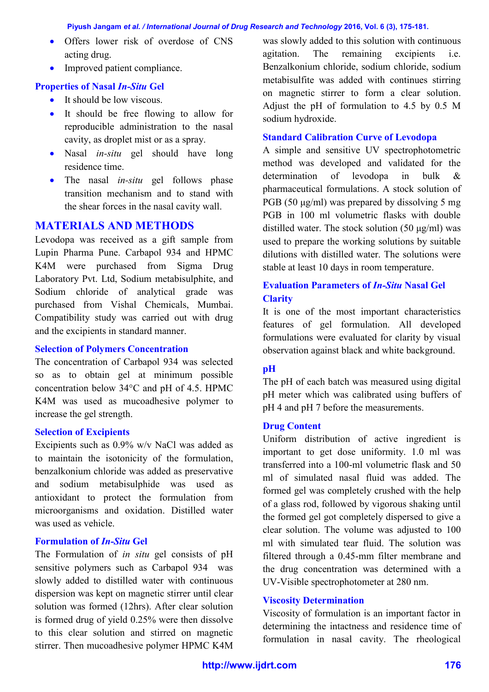- Offers lower risk of overdose of CNS acting drug.
- Improved patient compliance.

# **Properties of Nasal** *In-Situ* **Gel**

- $\bullet$  It should be low viscous.
- It should be free flowing to allow for reproducible administration to the nasal cavity, as droplet mist or as a spray.
- Nasal *in-situ* gel should have long residence time.
- The nasal *in-situ* gel follows phase transition mechanism and to stand with the shear forces in the nasal cavity wall.

# **MATERIALS AND METHODS**

Levodopa was received as a gift sample from Lupin Pharma Pune. Carbapol 934 and HPMC K4M were purchased from Sigma Drug Laboratory Pvt. Ltd, Sodium metabisulphite, and Sodium chloride of analytical grade was purchased from Vishal Chemicals, Mumbai. Compatibility study was carried out with drug and the excipients in standard manner.

### **Selection of Polymers Concentration**

The concentration of Carbapol 934 was selected so as to obtain gel at minimum possible concentration below 34°C and pH of 4.5. HPMC K4M was used as mucoadhesive polymer to increase the gel strength.

### **Selection of Excipients**

Excipients such as 0.9% w/v NaCl was added as to maintain the isotonicity of the formulation, benzalkonium chloride was added as preservative and sodium metabisulphide was used as antioxidant to protect the formulation from microorganisms and oxidation. Distilled water was used as vehicle.

### **Formulation of** *In-Situ* **Gel**

The Formulation of *in situ* gel consists of pH sensitive polymers such as Carbapol 934 was slowly added to distilled water with continuous dispersion was kept on magnetic stirrer until clear solution was formed (12hrs). After clear solution is formed drug of yield 0.25% were then dissolve to this clear solution and stirred on magnetic stirrer. Then mucoadhesive polymer HPMC K4M was slowly added to this solution with continuous agitation. The remaining excipients i.e. Benzalkonium chloride, sodium chloride, sodium metabisulfite was added with continues stirring on magnetic stirrer to form a clear solution. Adjust the pH of formulation to 4.5 by 0.5 M sodium hydroxide.

### **Standard Calibration Curve of Levodopa**

A simple and sensitive UV spectrophotometric method was developed and validated for the determination of levodopa in bulk & pharmaceutical formulations. A stock solution of PGB (50 μg/ml) was prepared by dissolving 5 mg PGB in 100 ml volumetric flasks with double distilled water. The stock solution (50 μg/ml) was used to prepare the working solutions by suitable dilutions with distilled water. The solutions were stable at least 10 days in room temperature.

## **Evaluation Parameters of** *In-Situ* **Nasal Gel Clarity**

It is one of the most important characteristics features of gel formulation. All developed formulations were evaluated for clarity by visual observation against black and white background.

### **pH**

The pH of each batch was measured using digital pH meter which was calibrated using buffers of pH 4 and pH 7 before the measurements.

#### **Drug Content**

Uniform distribution of active ingredient is important to get dose uniformity. 1.0 ml was transferred into a 100-ml volumetric flask and 50 ml of simulated nasal fluid was added. The formed gel was completely crushed with the help of a glass rod, followed by vigorous shaking until the formed gel got completely dispersed to give a clear solution. The volume was adjusted to 100 ml with simulated tear fluid. The solution was filtered through a 0.45-mm filter membrane and the drug concentration was determined with a UV-Visible spectrophotometer at 280 nm.

### **Viscosity Determination**

Viscosity of formulation is an important factor in determining the intactness and residence time of formulation in nasal cavity. The rheological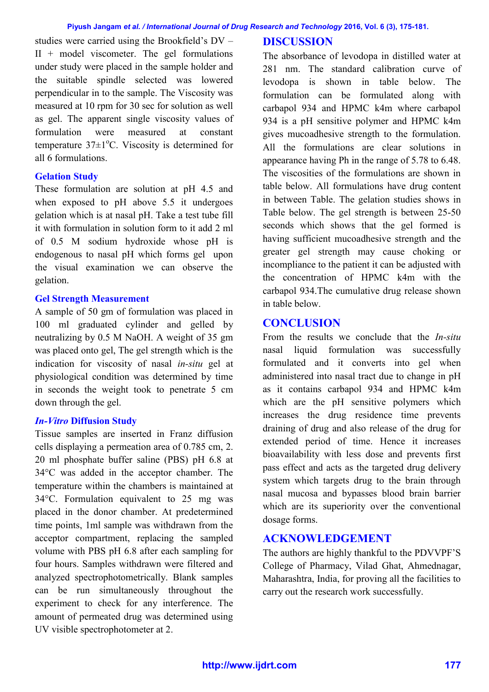studies were carried using the Brookfield's DV –  $II + model$  viscometer. The gel formulations under study were placed in the sample holder and the suitable spindle selected was lowered perpendicular in to the sample. The Viscosity was measured at 10 rpm for 30 sec for solution as well as gel. The apparent single viscosity values of formulation were measured at constant temperature  $37\pm1\degree$ C. Viscosity is determined for all 6 formulations.

# **Gelation Study**

These formulation are solution at pH 4.5 and when exposed to pH above 5.5 it undergoes gelation which is at nasal pH. Take a test tube fill it with formulation in solution form to it add 2 ml of 0.5 M sodium hydroxide whose pH is endogenous to nasal pH which forms gel upon the visual examination we can observe the gelation.

## **Gel Strength Measurement**

A sample of 50 gm of formulation was placed in 100 ml graduated cylinder and gelled by neutralizing by 0.5 M NaOH. A weight of 35 gm was placed onto gel, The gel strength which is the indication for viscosity of nasal *in-situ* gel at physiological condition was determined by time in seconds the weight took to penetrate 5 cm down through the gel.

### *In-Vitro* **Diffusion Study**

Tissue samples are inserted in Franz diffusion cells displaying a permeation area of 0.785 cm, 2. 20 ml phosphate buffer saline (PBS) pH 6.8 at 34°C was added in the acceptor chamber. The temperature within the chambers is maintained at 34°C. Formulation equivalent to 25 mg was placed in the donor chamber. At predetermined time points, 1ml sample was withdrawn from the acceptor compartment, replacing the sampled volume with PBS pH 6.8 after each sampling for four hours. Samples withdrawn were filtered and analyzed spectrophotometrically. Blank samples can be run simultaneously throughout the experiment to check for any interference. The amount of permeated drug was determined using UV visible spectrophotometer at 2.

# **DISCUSSION**

The absorbance of levodopa in distilled water at 281 nm. The standard calibration curve of levodopa is shown in table below. The formulation can be formulated along with carbapol 934 and HPMC k4m where carbapol 934 is a pH sensitive polymer and HPMC k4m gives mucoadhesive strength to the formulation. All the formulations are clear solutions in appearance having Ph in the range of 5.78 to 6.48. The viscosities of the formulations are shown in table below. All formulations have drug content in between Table. The gelation studies shows in Table below. The gel strength is between 25-50 seconds which shows that the gel formed is having sufficient mucoadhesive strength and the greater gel strength may cause choking or incompliance to the patient it can be adjusted with the concentration of HPMC k4m with the carbapol 934.The cumulative drug release shown in table below.

# **CONCLUSION**

From the results we conclude that the *In-situ* nasal liquid formulation was successfully formulated and it converts into gel when administered into nasal tract due to change in pH as it contains carbapol 934 and HPMC k4m which are the pH sensitive polymers which increases the drug residence time prevents draining of drug and also release of the drug for extended period of time. Hence it increases bioavailability with less dose and prevents first pass effect and acts as the targeted drug delivery system which targets drug to the brain through nasal mucosa and bypasses blood brain barrier which are its superiority over the conventional dosage forms.

# **ACKNOWLEDGEMENT**

The authors are highly thankful to the PDVVPF'S College of Pharmacy, Vilad Ghat, Ahmednagar, Maharashtra, India, for proving all the facilities to carry out the research work successfully.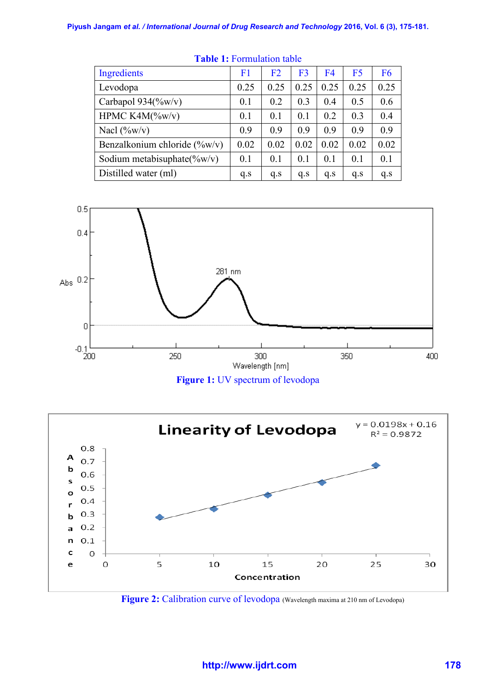| Ingredients                     | F <sub>1</sub> | F <sub>2</sub> | F <sub>3</sub> | F <sub>4</sub> | F <sub>5</sub> | F <sub>6</sub> |
|---------------------------------|----------------|----------------|----------------|----------------|----------------|----------------|
| Levodopa                        | 0.25           | 0.25           | 0.25           | 0.25           | 0.25           | 0.25           |
| Carbapol $934$ (%w/v)           | 0 <sub>1</sub> | 0.2            | 0.3            | 04             | 0.5            | 0.6            |
| HPMC $K4M(\%w/v)$               | 0.1            | 0.1            | 0.1            | 0.2            | 0.3            | 0.4            |
| Nacl $(\%w/v)$                  | 0.9            | 09             | 09             | 09             | 0.9            | 0.9            |
| Benzalkonium chloride $(\%w/v)$ | 0.02           | 0.02           | 0.02           | 0.02           | 0.02           | 0.02           |
| Sodium metabisuphate( $\%w/v$ ) | 0 <sub>1</sub> | 0.1            | 0.1            | 0 <sub>1</sub> | 0.1            | 0.1            |
| Distilled water (ml)            | q.s            | q.s            | q.s            | q.s            | q.s            | q.s            |

**Table 1:** Formulation table







**Figure 2:** Calibration curve of levodopa (Wavelength maxima at 210 nm of Levodopa)

## **http://www.ijdrt.com 178**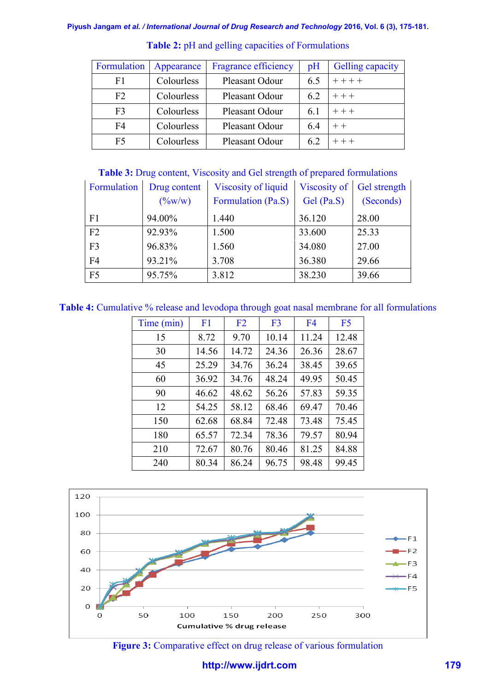| Formulation    | Appearance | <b>Fragrance efficiency</b> | pH  | Gelling capacity |
|----------------|------------|-----------------------------|-----|------------------|
| F1             | Colourless | Pleasant Odour              | 6.5 | $++++$           |
| F <sub>2</sub> | Colourless | Pleasant Odour              | 6.2 | $+ + +$          |
| F <sub>3</sub> | Colourless | Pleasant Odour              | 6.1 | $++$             |
| F4             | Colourless | Pleasant Odour              | 6.4 | $++$             |
| F <sub>5</sub> | Colourless | Pleasant Odour              | 62  | $+++$            |

**Table 2:** pH and gelling capacities of Formulations

#### **Table 3:** Drug content, Viscosity and Gel strength of prepared formulations

| Formulation    | Drug content              | Viscosity of liquid | Viscosity of | Gel strength |  |
|----------------|---------------------------|---------------------|--------------|--------------|--|
|                | $(\frac{9}{\text{ow}}/w)$ | Formulation (Pa.S)  | Gel (Pa.S)   | (Seconds)    |  |
| F1             | 94.00%                    | 1.440               | 36.120       | 28.00        |  |
| F2             | 92.93%                    | 1.500               | 33.600       | 25.33        |  |
| F <sub>3</sub> | 96.83%                    | 1.560               | 34.080       | 27.00        |  |
| F <sub>4</sub> | 93.21%                    | 3.708               | 36.380       | 29.66        |  |
| F <sub>5</sub> | 95.75%                    | 3.812               | 38.230       | 39.66        |  |

**Table 4:** Cumulative % release and levodopa through goat nasal membrane for all formulations

| Time (min) | F1    | F2    | F <sub>3</sub> | F <sub>4</sub> | F5    |
|------------|-------|-------|----------------|----------------|-------|
| 15         | 8.72  | 9.70  | 10.14          | 11.24          | 12.48 |
| 30         | 14.56 | 14.72 | 24.36          | 26.36          | 28.67 |
| 45         | 25.29 | 34.76 | 36.24          | 38.45          | 39.65 |
| 60         | 36.92 | 34.76 | 48.24          | 49.95          | 50.45 |
| 90         | 46.62 | 48.62 | 56.26          | 57.83          | 59.35 |
| 12         | 54.25 | 58.12 | 68.46          | 69.47          | 70.46 |
| 150        | 62.68 | 68.84 | 72.48          | 73.48          | 75.45 |
| 180        | 65.57 | 72.34 | 78.36          | 79.57          | 80.94 |
| 210        | 72.67 | 80.76 | 80.46          | 81.25          | 84.88 |
| 240        | 80.34 | 86.24 | 96.75          | 98.48          | 99.45 |



**Figure 3:** Comparative effect on drug release of various formulation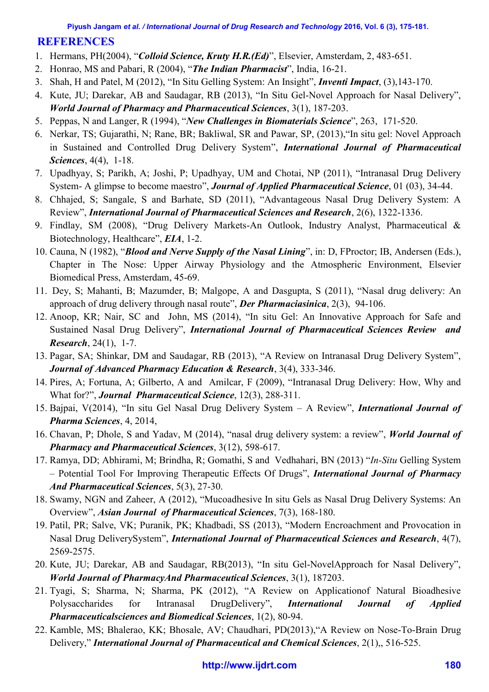# **REFERENCES**

- 1. Hermans, PH(2004), "*Colloid Science, Kruty H.R.(Ed)*", Elsevier, Amsterdam, 2, 483-651.
- 2. Honrao, MS and Pabari, R (2004), "*The Indian Pharmacist*", India, 16-21.
- 3. Shah, H and Patel, M (2012), "In Situ Gelling System: An Insight", *Inventi Impact*, (3),143-170.
- 4. Kute, JU; Darekar, AB and Saudagar, RB (2013), "In Situ Gel-Novel Approach for Nasal Delivery", *World Journal of Pharmacy and Pharmaceutical Sciences*, 3(1), 187-203.
- 5. Peppas, N and Langer, R (1994), "*New Challenges in Biomaterials Science*", 263, 171-520.
- 6. Nerkar, TS; Gujarathi, N; Rane, BR; Bakliwal, SR and Pawar, SP, (2013),"In situ gel: Novel Approach in Sustained and Controlled Drug Delivery System", *International Journal of Pharmaceutical Sciences*, 4(4), 1-18.
- 7. Upadhyay, S; Parikh, A; Joshi, P; Upadhyay, UM and Chotai, NP (2011), "Intranasal Drug Delivery System- A glimpse to become maestro", *Journal of Applied Pharmaceutical Science*, 01 (03), 34-44.
- 8. Chhajed, S; Sangale, S and Barhate, SD (2011), "Advantageous Nasal Drug Delivery System: A Review", *International Journal of Pharmaceutical Sciences and Research*, 2(6), 1322-1336.
- 9. Findlay, SM (2008), "Drug Delivery Markets-An Outlook, Industry Analyst, Pharmaceutical & Biotechnology, Healthcare", *EIA*, 1-2.
- 10. Cauna, N (1982), "*Blood and Nerve Supply of the Nasal Lining*", in: D, FProctor; IB, Andersen (Eds.), Chapter in The Nose: Upper Airway Physiology and the Atmospheric Environment, Elsevier Biomedical Press, Amsterdam, 45-69.
- 11. Dey, S; Mahanti, B; Mazumder, B; Malgope, A and Dasgupta, S (2011), "Nasal drug delivery: An approach of drug delivery through nasal route", *Der Pharmaciasinica*, 2(3), 94-106.
- 12. Anoop, KR; Nair, SC and John, MS (2014), "In situ Gel: An Innovative Approach for Safe and Sustained Nasal Drug Delivery", *International Journal of Pharmaceutical Sciences Review and Research*, 24(1), 1-7.
- 13. Pagar, SA; Shinkar, DM and Saudagar, RB (2013), "A Review on Intranasal Drug Delivery System", *Journal of Advanced Pharmacy Education & Research*, 3(4), 333-346.
- 14. Pires, A; Fortuna, A; Gilberto, A and Amilcar, F (2009), "Intranasal Drug Delivery: How, Why and What for?", *Journal Pharmaceutical Science*, 12(3), 288-311.
- 15. Bajpai, V(2014), "In situ Gel Nasal Drug Delivery System A Review", *International Journal of Pharma Sciences*, 4, 2014,
- 16. Chavan, P; Dhole, S and Yadav, M (2014), "nasal drug delivery system: a review", *World Journal of Pharmacy and Pharmaceutical Sciences*, 3(12), 598-617.
- 17. Ramya, DD; Abhirami, M; Brindha, R; Gomathi, S and Vedhahari, BN (2013) "*In-Situ* Gelling System – Potential Tool For Improving Therapeutic Effects Of Drugs", *International Journal of Pharmacy And Pharmaceutical Sciences*, 5(3), 27-30.
- 18. Swamy, NGN and Zaheer, A (2012), "Mucoadhesive In situ Gels as Nasal Drug Delivery Systems: An Overview", *Asian Journal of Pharmaceutical Sciences*, 7(3), 168-180.
- 19. Patil, PR; Salve, VK; Puranik, PK; Khadbadi, SS (2013), "Modern Encroachment and Provocation in Nasal Drug DeliverySystem", *International Journal of Pharmaceutical Sciences and Research*, 4(7), 2569-2575.
- 20. Kute, JU; Darekar, AB and Saudagar, RB(2013), "In situ Gel-NovelApproach for Nasal Delivery", *World Journal of PharmacyAnd Pharmaceutical Sciences*, 3(1), 187203.
- 21. Tyagi, S; Sharma, N; Sharma, PK (2012), "A Review on Applicationof Natural Bioadhesive Polysaccharides for Intranasal DrugDelivery", *International Journal of Applied Pharmaceuticalsciences and Biomedical Sciences*, 1(2), 80-94.
- 22. Kamble, MS; Bhalerao, KK; Bhosale, AV; Chaudhari, PD(2013),"A Review on Nose-To-Brain Drug Delivery," *International Journal of Pharmaceutical and Chemical Sciences*, 2(1),, 516-525.